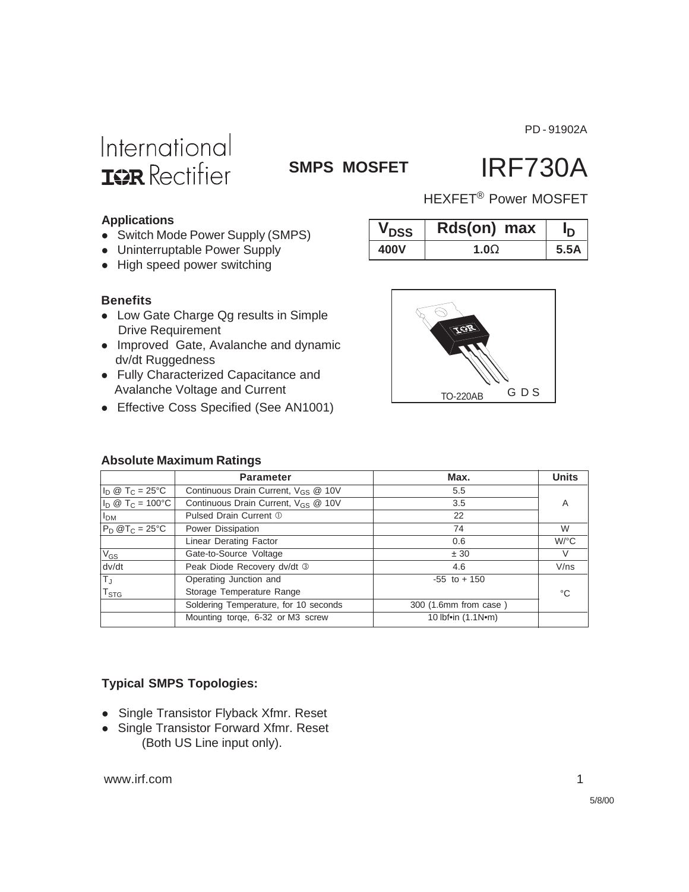PD - 91902A

# International **ISR** Rectifier

### **SMPS MOSFET**

# IRF730A

HEXFET® Power MOSFET

**V**<sub>DSS</sub> **Rds(on)** max  $I_{\text{D}}$ **400V 1.0**Ω **5.5A**

### **Applications**

- Switch Mode Power Supply (SMPS)
- Uninterruptable Power Supply
- High speed power switching

#### **Benefits**

- Low Gate Charge Qg results in Simple Drive Requirement
- Improved Gate, Avalanche and dynamic dv/dt Ruggedness
- Fully Characterized Capacitance and Avalanche Voltage and Current
- Effective Coss Specified (See AN1001)

# TO-220AB G D S

### **Absolute Maximum Ratings**

|                                  | <b>Parameter</b>                                | Max.                  | <b>Units</b>         |
|----------------------------------|-------------------------------------------------|-----------------------|----------------------|
| $I_D @ T_C = 25^{\circ}C$        | Continuous Drain Current, V <sub>GS</sub> @ 10V | 5.5                   |                      |
| $I_D \otimes T_C = 100^{\circ}C$ | Continuous Drain Current, V <sub>GS</sub> @ 10V | 3.5                   | A                    |
| I <sub>DM</sub>                  | Pulsed Drain Current 1                          | 22                    |                      |
| $P_D @T_C = 25°C$                | Power Dissipation                               | 74                    | W                    |
|                                  | Linear Derating Factor                          | 0.6                   | $W$ <sup>o</sup> $C$ |
| $V_{GS}$                         | Gate-to-Source Voltage                          | ± 30                  | V                    |
| dv/dt                            | Peak Diode Recovery dv/dt 3                     | 4.6                   | V/ns                 |
| T」                               | Operating Junction and                          | $-55$ to $+150$       |                      |
| $\mathsf{T}_{\textsf{STG}}$      | Storage Temperature Range                       |                       | °C                   |
|                                  | Soldering Temperature, for 10 seconds           | 300 (1.6mm from case) |                      |
|                                  | Mounting torge, 6-32 or M3 screw                | 10 lbf•in (1.1N•m)    |                      |

### **Typical SMPS Topologies:**

- Single Transistor Flyback Xfmr. Reset
- Single Transistor Forward Xfmr. Reset (Both US Line input only).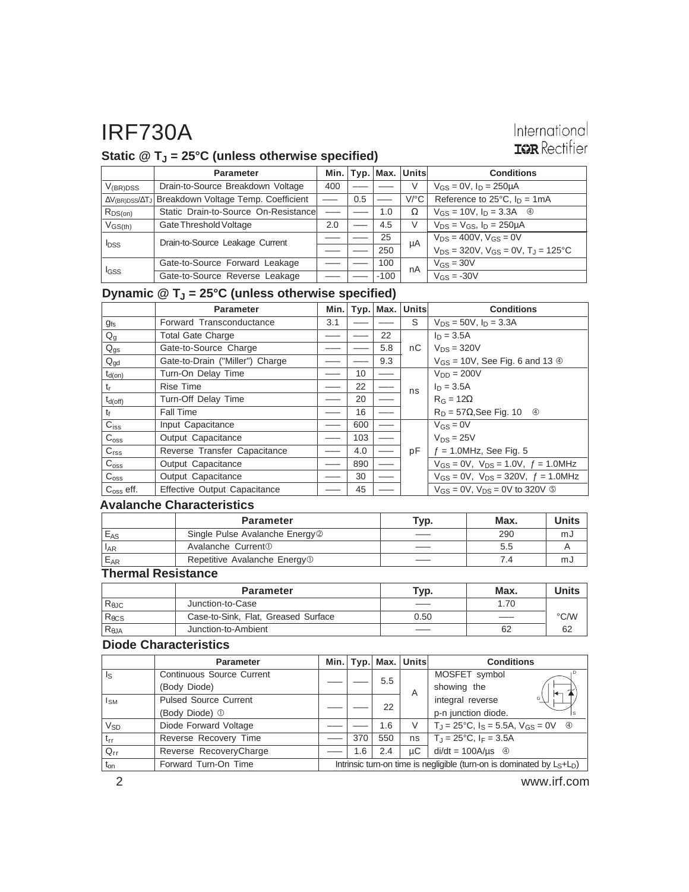### International **IGR** Rectifier

### **Static @ TJ = 25°C (unless otherwise specified)**

|                       | <b>Parameter</b>                                                           |     |     |        | Min.   Typ.   Max.   Units | <b>Conditions</b>                                |
|-----------------------|----------------------------------------------------------------------------|-----|-----|--------|----------------------------|--------------------------------------------------|
| $V_{(BR)DSS}$         | Drain-to-Source Breakdown Voltage                                          | 400 |     |        | V                          | $V_{GS} = 0V$ , $I_D = 250 \mu A$                |
|                       | ∆V <sub>(BR)DSS</sub> /∆T <sub>J</sub> Breakdown Voltage Temp. Coefficient |     | 0.5 |        | $V$ <sup>o</sup> $C$       | Reference to $25^{\circ}$ C, $I_D = 1 \text{mA}$ |
| $R_{DS(on)}$          | Static Drain-to-Source On-Resistance                                       |     |     | 1.0    | Ω                          | $V_{GS} = 10V$ , $I_D = 3.3A$ <sup>4</sup>       |
| $V$ <sub>GS(th)</sub> | Gate Threshold Voltage                                                     | 2.0 |     | 4.5    | V                          | $V_{DS} = V_{GS}$ , $I_D = 250 \mu A$            |
| <b>I</b> DSS          | Drain-to-Source Leakage Current                                            |     |     | 25     | μA                         | $V_{DS} = 400V$ , $V_{GS} = 0V$                  |
|                       |                                                                            |     |     | 250    |                            | $V_{DS}$ = 320V, $V_{GS}$ = 0V, $T_J$ = 125°C    |
| <b>I</b> GSS          | Gate-to-Source Forward Leakage                                             |     |     | 100    | nA                         | $V_{GS} = 30V$                                   |
|                       | Gate-to-Source Reverse Leakage                                             |     |     | $-100$ |                            | $V_{GS} = -30V$                                  |

### **Dynamic @ TJ = 25°C (unless otherwise specified)**

|                    | <b>Parameter</b>                | Min. |     |     | Typ.   Max.   Units | <b>Conditions</b>                                |
|--------------------|---------------------------------|------|-----|-----|---------------------|--------------------------------------------------|
| <b>gfs</b>         | Forward Transconductance        | 3.1  |     |     | S                   | $V_{DS} = 50V$ , $I_D = 3.3A$                    |
| $Q_g$              | <b>Total Gate Charge</b>        |      |     | 22  |                     | $I_D = 3.5A$                                     |
| $Q_{gs}$           | Gate-to-Source Charge           |      |     | 5.8 | nC.                 | $V_{DS} = 320V$                                  |
| $Q_{gd}$           | Gate-to-Drain ("Miller") Charge |      |     | 9.3 |                     | $V_{GS}$ = 10V, See Fig. 6 and 13 $\circledcirc$ |
| $t_{d(on)}$        | Turn-On Delay Time              |      | 10  |     |                     | $V_{DD} = 200V$                                  |
| t,                 | <b>Rise Time</b>                |      | 22  |     | ns                  | $I_D = 3.5A$                                     |
| $t_{d(off)}$       | Turn-Off Delay Time             |      | 20  |     |                     | $R_G = 12\Omega$                                 |
| tғ                 | <b>Fall Time</b>                |      | 16  |     |                     | $R_D = 57\Omega$ , See Fig. 10 $\oplus$          |
| $C_{iss}$          | Input Capacitance               |      | 600 |     |                     | $V_{GS} = 0V$                                    |
| $C_{\rm oss}$      | Output Capacitance              |      | 103 |     |                     | $V_{DS} = 25V$                                   |
| C <sub>rss</sub>   | Reverse Transfer Capacitance    |      | 4.0 |     | pF                  | $f = 1.0$ MHz, See Fig. 5                        |
| $C_{\rm oss}$      | Output Capacitance              |      | 890 |     |                     | $V_{GS} = 0V$ , $V_{DS} = 1.0V$ , $f = 1.0MHz$   |
| $C_{\text{oss}}$   | Output Capacitance              |      | 30  |     |                     | $V_{GS} = 0V$ , $V_{DS} = 320V$ , $f = 1.0 MHz$  |
| $C_{\rm oss}$ eff. | Effective Output Capacitance    |      | 45  |     |                     | $V_{GS}$ = 0V, $V_{DS}$ = 0V to 320V $\circ$     |

#### **Avalanche Characteristics**

|          | <b>Parameter</b>                           | Typ. | Max. | <b>Units</b> |
|----------|--------------------------------------------|------|------|--------------|
| $E_{AS}$ | Single Pulse Avalanche Energy <sup>2</sup> |      | 290  | mJ           |
| $I_{AR}$ | Avalanche Current <sup>1</sup>             |      | 5.5  |              |
| $E_{AR}$ | Repetitive Avalanche Energy <sup>1</sup>   |      | 7.4  | mJ           |

### **Thermal Resistance**

|                 | <b>Parameter</b>                    | Typ. | Max. | <b>Units</b>  |
|-----------------|-------------------------------------|------|------|---------------|
| $R_{\theta$ JC  | Junction-to-Case                    |      | 1.70 |               |
| $R_{\theta CS}$ | Case-to-Sink, Flat, Greased Surface | 0.50 | $-$  | $\degree$ C/W |
| $R_{\theta$ JA  | Junction-to-Ambient                 |      | 62   | 62            |

#### **Diode Characteristics**

|                 | <b>Parameter</b>             |                                                                           |     |     | Min.   Typ.   Max.   Units | <b>Conditions</b>                             |  |
|-----------------|------------------------------|---------------------------------------------------------------------------|-----|-----|----------------------------|-----------------------------------------------|--|
| Is              | Continuous Source Current    |                                                                           |     | 5.5 |                            | MOSFET symbol                                 |  |
|                 | (Body Diode)                 |                                                                           |     |     | Α                          | showing the                                   |  |
| Isм             | <b>Pulsed Source Current</b> |                                                                           |     | 22  |                            | integral reverse<br>G١                        |  |
|                 | (Body Diode) 1               |                                                                           |     |     |                            | p-n junction diode.                           |  |
| $V_{SD}$        | Diode Forward Voltage        |                                                                           |     | 1.6 | V                          | $T_J = 25$ °C, $I_S = 5.5A$ , $V_{GS} = 0V$ 4 |  |
| $t_{rr}$        | Reverse Recovery Time        |                                                                           | 370 | 550 | ns                         | $\overline{T_{J}}$ = 25°C, $I_{F}$ = 3.5A     |  |
| $Q_{rr}$        | Reverse RecoveryCharge       |                                                                           | 1.6 | 2.4 | uС                         | $di/dt = 100A/\mu s$ 4                        |  |
| $t_{\text{on}}$ | Forward Turn-On Time         | Intrinsic turn-on time is negligible (turn-on is dominated by $L_S+L_D$ ) |     |     |                            |                                               |  |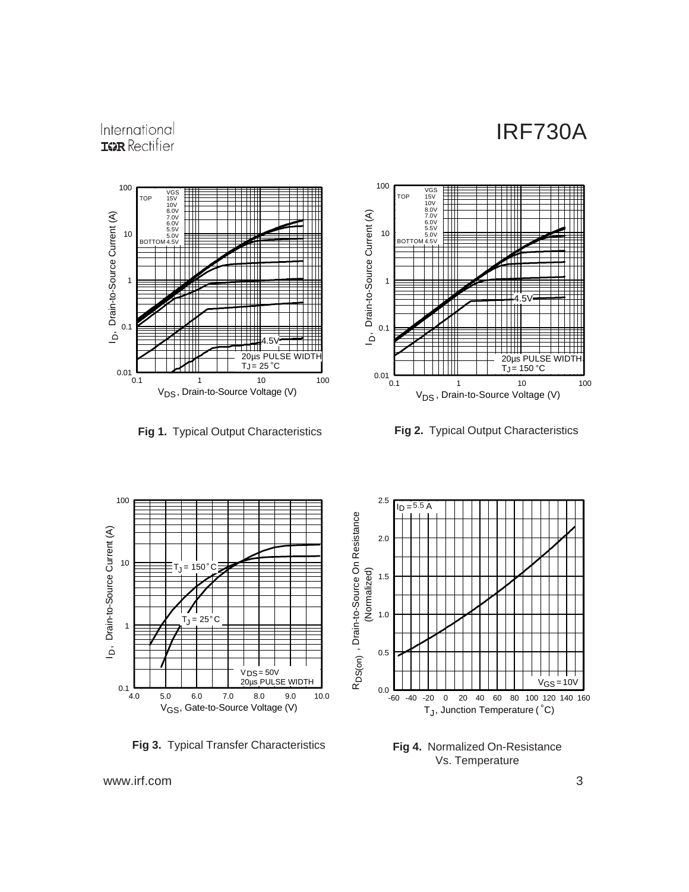### International **ISPR** Rectifier





**Fig 1.** Typical Output Characteristics **Fig 2.** Typical Output Characteristics



**Fig 3.** Typical Transfer Characteristics



**Fig 4.** Normalized On-Resistance Vs. Temperature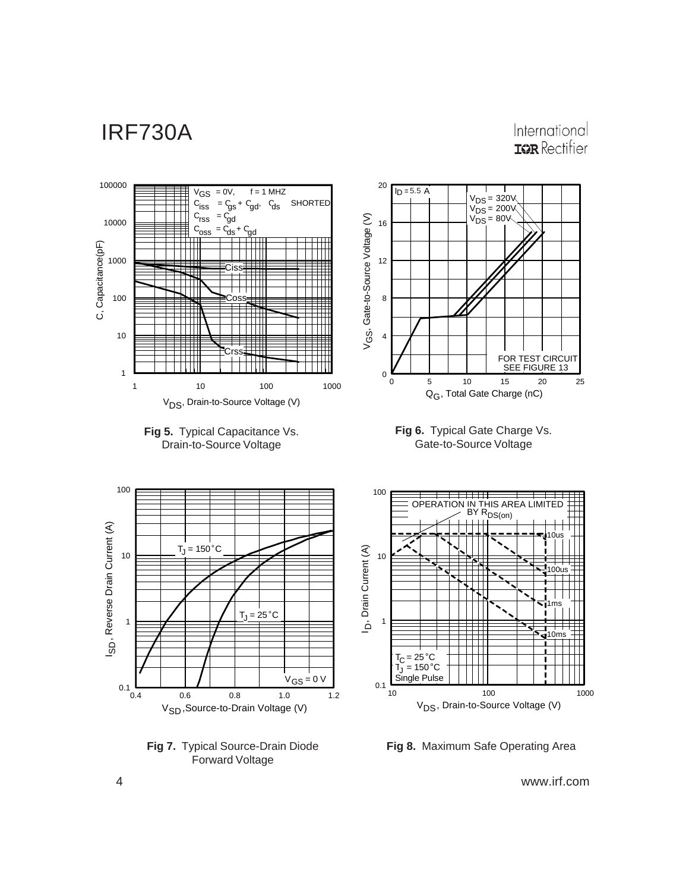International **IGR** Rectifier



**Fig 7.** Typical Source-Drain Diode Forward Voltage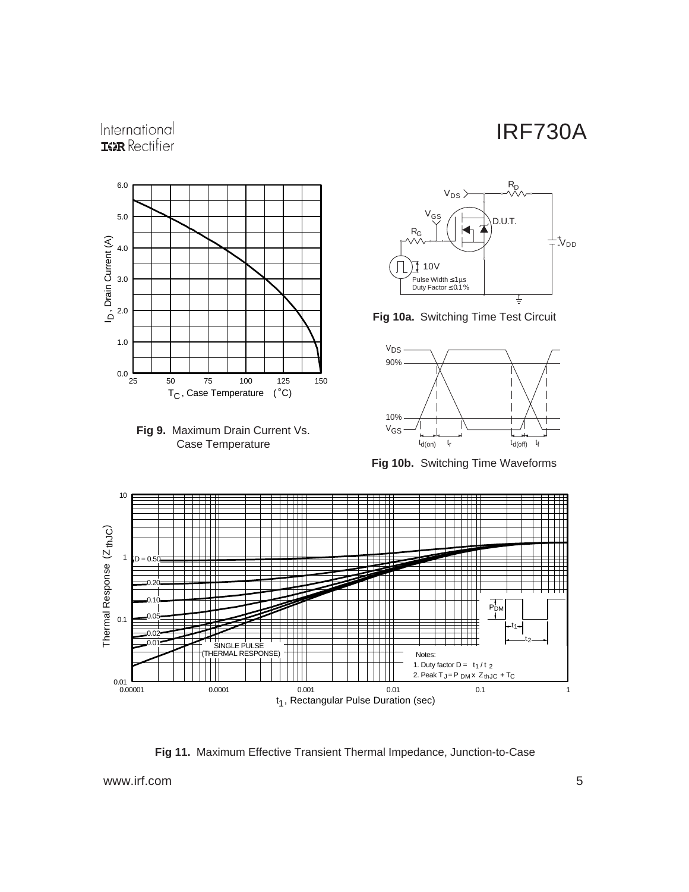### International **ISPR** Rectifier







**Fig 10a.** Switching Time Test Circuit



**Fig 10b.** Switching Time Waveforms



**Fig 11.** Maximum Effective Transient Thermal Impedance, Junction-to-Case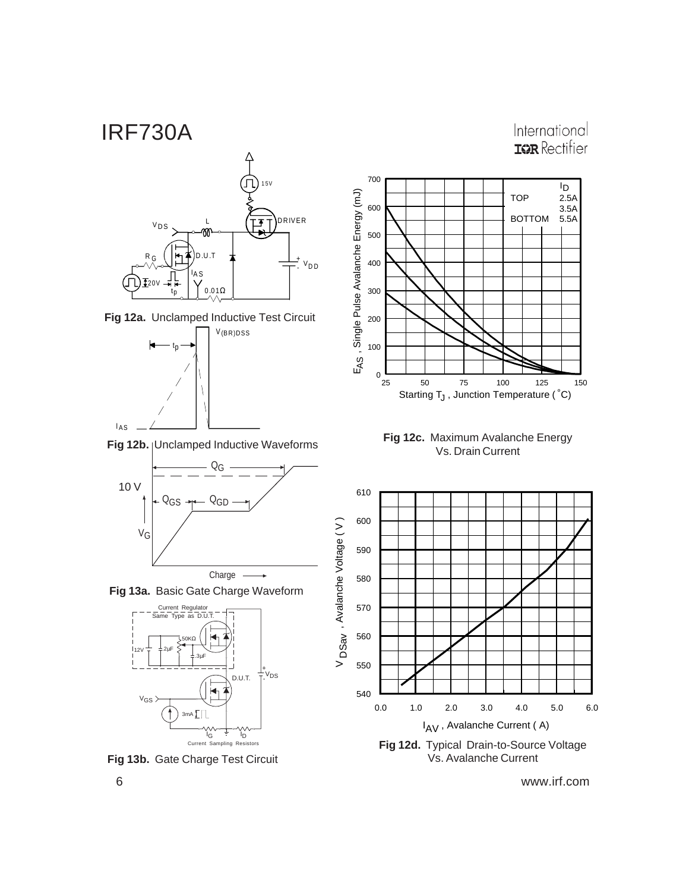International **IGR** Rectifier



**Fig 13b.** Gate Charge Test Circuit

25 50 75 100 125 150  $^{0}$  L<br>25 100 200 300 400 500 600 700 Starting  $T_J$  , Junction Temperature ( $^{\circ}$ C) ID TOP BOTTOM 2.5A 3.5A 5.5A



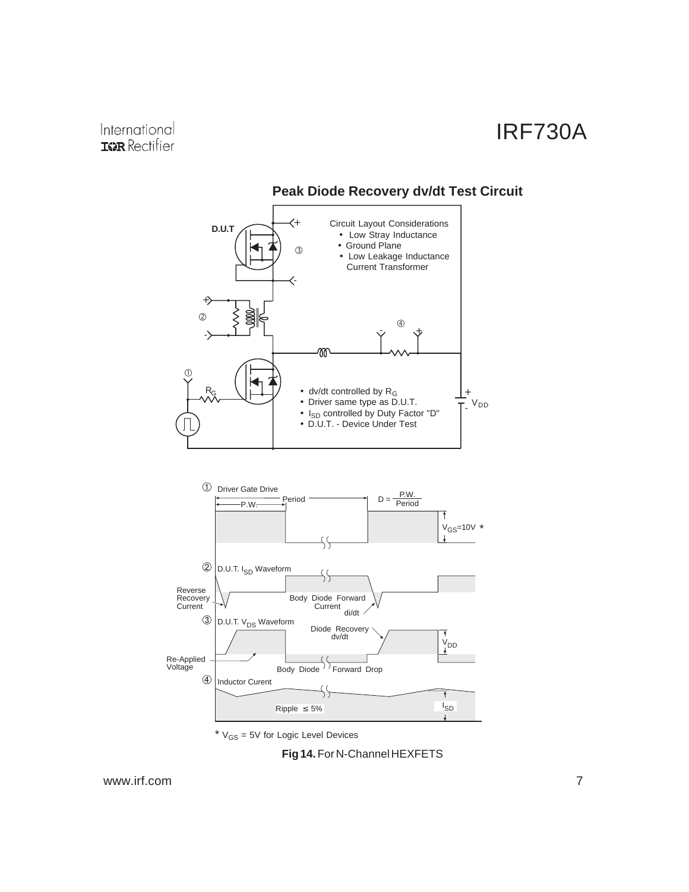

### **Peak Diode Recovery dv/dt Test Circuit**

 $*$   $V_{GS}$  = 5V for Logic Level Devices

#### **Fig 14.** For N-Channel HEXFETS